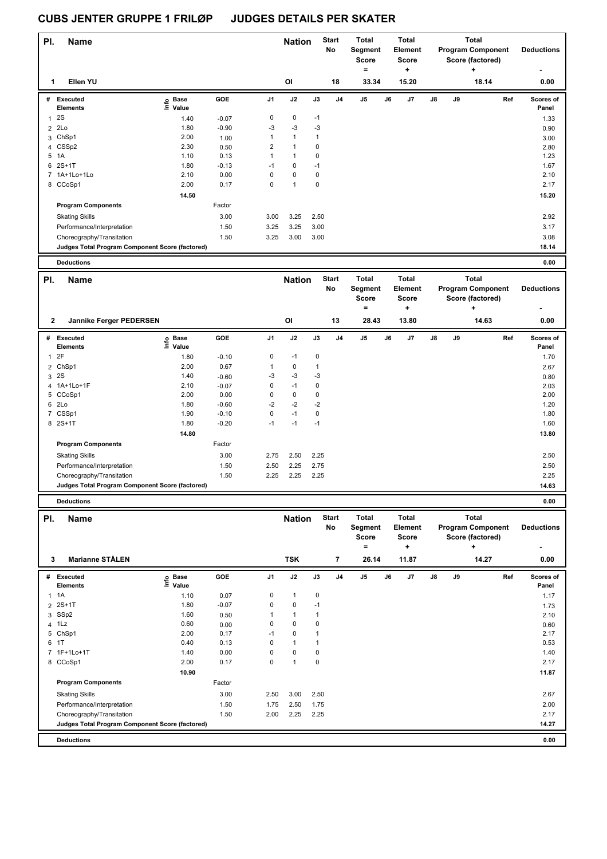| PI.                     | Name                                                                         |                                     |                 |                             | <b>Nation</b>                |                             | <b>Start</b>   | Total                    | <b>Total</b>              |                |    | <b>Total</b>             |                    |
|-------------------------|------------------------------------------------------------------------------|-------------------------------------|-----------------|-----------------------------|------------------------------|-----------------------------|----------------|--------------------------|---------------------------|----------------|----|--------------------------|--------------------|
|                         |                                                                              |                                     |                 |                             |                              |                             | No             | Segment                  | <b>Element</b>            |                |    | <b>Program Component</b> | <b>Deductions</b>  |
|                         |                                                                              |                                     |                 |                             |                              |                             |                | <b>Score</b><br>$\equiv$ | <b>Score</b><br>$\ddot{}$ |                |    | Score (factored)<br>÷    |                    |
| 1                       | Ellen YU                                                                     |                                     |                 |                             | OI                           |                             | 18             | 33.34                    | 15.20                     |                |    | 18.14                    | 0.00               |
|                         |                                                                              |                                     |                 |                             |                              |                             |                |                          |                           |                |    |                          |                    |
| #                       | Executed                                                                     | e Base<br>E Value                   | <b>GOE</b>      | J <sub>1</sub>              | J2                           | J3                          | J <sub>4</sub> | J5                       | J7<br>J6                  | J8             | J9 | Ref                      | Scores of          |
|                         | <b>Elements</b>                                                              |                                     |                 |                             |                              |                             |                |                          |                           |                |    |                          | Panel              |
| $\mathbf{1}$            | 2S                                                                           | 1.40                                | $-0.07$         | $\mathbf 0$                 | $\mathbf 0$                  | $-1$                        |                |                          |                           |                |    |                          | 1.33               |
|                         | 2 2Lo                                                                        | 1.80                                | $-0.90$         | $-3$                        | $-3$                         | $-3$                        |                |                          |                           |                |    |                          | 0.90               |
| 3                       | ChSp1                                                                        | 2.00                                | 1.00            | $\mathbf{1}$                | $\mathbf{1}$<br>$\mathbf{1}$ | $\overline{1}$<br>$\pmb{0}$ |                |                          |                           |                |    |                          | 3.00               |
| 5                       | 4 CSSp2<br>1A                                                                | 2.30<br>1.10                        | 0.50<br>0.13    | $\mathbf 2$<br>$\mathbf{1}$ | $\mathbf{1}$                 | $\pmb{0}$                   |                |                          |                           |                |    |                          | 2.80<br>1.23       |
| 6                       | $2S+1T$                                                                      | 1.80                                | $-0.13$         | $-1$                        | $\mathbf 0$                  | $-1$                        |                |                          |                           |                |    |                          | 1.67               |
|                         | 7 1A+1Lo+1Lo                                                                 | 2.10                                | 0.00            | $\mathbf 0$                 | 0                            | $\mathbf 0$                 |                |                          |                           |                |    |                          | 2.10               |
|                         | 8 CCoSp1                                                                     | 2.00                                | 0.17            | $\mathbf 0$                 | $\overline{1}$               | $\mathbf 0$                 |                |                          |                           |                |    |                          | 2.17               |
|                         |                                                                              | 14.50                               |                 |                             |                              |                             |                |                          |                           |                |    |                          | 15.20              |
|                         | <b>Program Components</b>                                                    |                                     | Factor          |                             |                              |                             |                |                          |                           |                |    |                          |                    |
|                         |                                                                              |                                     |                 |                             |                              |                             |                |                          |                           |                |    |                          |                    |
|                         | <b>Skating Skills</b>                                                        |                                     | 3.00            | 3.00                        | 3.25                         | 2.50                        |                |                          |                           |                |    |                          | 2.92               |
|                         | Performance/Interpretation                                                   |                                     | 1.50            | 3.25                        | 3.25                         | 3.00                        |                |                          |                           |                |    |                          | 3.17               |
|                         | Choreography/Transitation                                                    |                                     | 1.50            | 3.25                        | 3.00                         | 3.00                        |                |                          |                           |                |    |                          | 3.08               |
|                         | Judges Total Program Component Score (factored)                              |                                     |                 |                             |                              |                             |                |                          |                           |                |    |                          | 18.14              |
|                         | <b>Deductions</b>                                                            |                                     |                 |                             |                              |                             |                |                          |                           |                |    |                          | 0.00               |
|                         |                                                                              |                                     |                 |                             |                              |                             |                |                          |                           |                |    |                          |                    |
|                         |                                                                              |                                     |                 |                             |                              |                             |                |                          |                           |                |    |                          |                    |
| PI.                     | Name                                                                         |                                     |                 |                             | <b>Nation</b>                |                             | <b>Start</b>   | <b>Total</b>             | <b>Total</b>              |                |    | <b>Total</b>             |                    |
|                         |                                                                              |                                     |                 |                             |                              |                             | No             | Segment                  | Element                   |                |    | <b>Program Component</b> | <b>Deductions</b>  |
|                         |                                                                              |                                     |                 |                             |                              |                             |                | <b>Score</b>             | <b>Score</b>              |                |    | Score (factored)         |                    |
|                         |                                                                              |                                     |                 |                             |                              |                             |                | Ξ                        | ÷                         |                |    | +                        | ٠                  |
|                         | 2<br>Jannike Ferger PEDERSEN                                                 |                                     |                 |                             | OI                           |                             | 13             | 28.43                    | 13.80                     |                |    | 14.63                    | 0.00               |
| #                       | Executed<br><b>Elements</b>                                                  |                                     | GOE             | J1                          | J2                           | J3                          | J <sub>4</sub> | J5                       | J6<br>J7                  | $\mathbf{J}$ 8 | J9 | Ref                      | Scores of<br>Panel |
|                         | 2F                                                                           | $\epsilon$ Base<br>$\epsilon$ Value |                 | $\pmb{0}$                   | $-1$                         | $\pmb{0}$                   |                |                          |                           |                |    |                          |                    |
| $\mathbf{1}$            | ChSp1                                                                        | 1.80<br>2.00                        | $-0.10$<br>0.67 | $\mathbf{1}$                | $\mathsf 0$                  | $\overline{1}$              |                |                          |                           |                |    |                          | 1.70               |
| $\overline{2}$          | 3 2S                                                                         | 1.40                                |                 | $-3$                        | $-3$                         | $-3$                        |                |                          |                           |                |    |                          | 2.67               |
| $\overline{\mathbf{4}}$ | 1A+1Lo+1F                                                                    | 2.10                                | $-0.60$         | 0                           | $-1$                         | $\mathbf 0$                 |                |                          |                           |                |    |                          | 0.80               |
|                         | 5 CCoSp1                                                                     | 2.00                                | $-0.07$<br>0.00 | $\mathbf 0$                 | $\pmb{0}$                    | $\mathbf 0$                 |                |                          |                           |                |    |                          | 2.03<br>2.00       |
| 6                       | 2Lo                                                                          | 1.80                                | $-0.60$         | $-2$                        | $-2$                         | $-2$                        |                |                          |                           |                |    |                          | 1.20               |
|                         | 7 CSSp1                                                                      | 1.90                                | $-0.10$         | 0                           | $-1$                         | $\pmb{0}$                   |                |                          |                           |                |    |                          | 1.80               |
|                         | 8 2S+1T                                                                      | 1.80                                | $-0.20$         | $-1$                        | $-1$                         | $-1$                        |                |                          |                           |                |    |                          | 1.60               |
|                         |                                                                              | 14.80                               |                 |                             |                              |                             |                |                          |                           |                |    |                          | 13.80              |
|                         | <b>Program Components</b>                                                    |                                     | Factor          |                             |                              |                             |                |                          |                           |                |    |                          |                    |
|                         | <b>Skating Skills</b>                                                        |                                     | 3.00            | 2.75                        | 2.50                         | 2.25                        |                |                          |                           |                |    |                          | 2.50               |
|                         |                                                                              |                                     |                 |                             |                              |                             |                |                          |                           |                |    |                          |                    |
|                         | Performance/Interpretation                                                   |                                     | 1.50            | 2.50                        | 2.25                         | 2.75                        |                |                          |                           |                |    |                          | 2.50<br>2.25       |
|                         | Choreography/Transitation<br>Judges Total Program Component Score (factored) |                                     | 1.50            | 2.25                        | 2.25                         | 2.25                        |                |                          |                           |                |    |                          | 14.63              |
|                         |                                                                              |                                     |                 |                             |                              |                             |                |                          |                           |                |    |                          |                    |
|                         | <b>Deductions</b>                                                            |                                     |                 |                             |                              |                             |                |                          |                           |                |    |                          | 0.00               |

|   |                                                 |                              |            |                |              |      | No             | Segment<br>Score<br>$=$ |    | Element<br><b>Score</b><br>٠ |               |    | <b>Program Component</b><br>Score (factored)<br>÷ |     | <b>Deductions</b><br>٠    |
|---|-------------------------------------------------|------------------------------|------------|----------------|--------------|------|----------------|-------------------------|----|------------------------------|---------------|----|---------------------------------------------------|-----|---------------------------|
| 3 | <b>Marianne STÅLEN</b>                          |                              |            |                | <b>TSK</b>   |      | $\overline{7}$ | 26.14                   |    | 11.87                        |               |    | 14.27                                             |     | 0.00                      |
| # | Executed<br><b>Elements</b>                     | <b>Base</b><br>lnfo<br>Value | <b>GOE</b> | J <sub>1</sub> | J2           | J3   | J <sub>4</sub> | J5                      | J6 | J7                           | $\mathsf{J}8$ | J9 |                                                   | Ref | <b>Scores of</b><br>Panel |
|   | $1 \t1A$                                        | 1.10                         | 0.07       | 0              | $\mathbf{1}$ | 0    |                |                         |    |                              |               |    |                                                   |     | 1.17                      |
|   | 2 2S+1T                                         | 1.80                         | $-0.07$    | 0              | 0            | $-1$ |                |                         |    |                              |               |    |                                                   |     | 1.73                      |
|   | 3 SSp2                                          | 1.60                         | 0.50       |                | 1            |      |                |                         |    |                              |               |    |                                                   |     | 2.10                      |
|   | 4 1Lz                                           | 0.60                         | 0.00       | 0              | 0            | 0    |                |                         |    |                              |               |    |                                                   |     | 0.60                      |
|   | 5 ChSp1                                         | 2.00                         | 0.17       | $-1$           | 0            |      |                |                         |    |                              |               |    |                                                   |     | 2.17                      |
|   | 6 1T                                            | 0.40                         | 0.13       | $\Omega$       | 1            |      |                |                         |    |                              |               |    |                                                   |     | 0.53                      |
|   | 7 1F+1Lo+1T                                     | 1.40                         | 0.00       | 0              | 0            | 0    |                |                         |    |                              |               |    |                                                   |     | 1.40                      |
|   | 8 CCoSp1                                        | 2.00                         | 0.17       | 0              | 1            | 0    |                |                         |    |                              |               |    |                                                   |     | 2.17                      |
|   |                                                 | 10.90                        |            |                |              |      |                |                         |    |                              |               |    |                                                   |     | 11.87                     |
|   | <b>Program Components</b>                       |                              | Factor     |                |              |      |                |                         |    |                              |               |    |                                                   |     |                           |
|   | <b>Skating Skills</b>                           |                              | 3.00       | 2.50           | 3.00         | 2.50 |                |                         |    |                              |               |    |                                                   |     | 2.67                      |
|   | Performance/Interpretation                      |                              | 1.50       | 1.75           | 2.50         | 1.75 |                |                         |    |                              |               |    |                                                   |     | 2.00                      |
|   | Choreography/Transitation                       |                              | 1.50       | 2.00           | 2.25         | 2.25 |                |                         |    |                              |               |    |                                                   |     | 2.17                      |
|   | Judges Total Program Component Score (factored) |                              |            |                |              |      |                |                         |    |                              |               |    |                                                   |     | 14.27                     |
|   | <b>Deductions</b>                               |                              |            |                |              |      |                |                         |    |                              |               |    |                                                   |     | 0.00                      |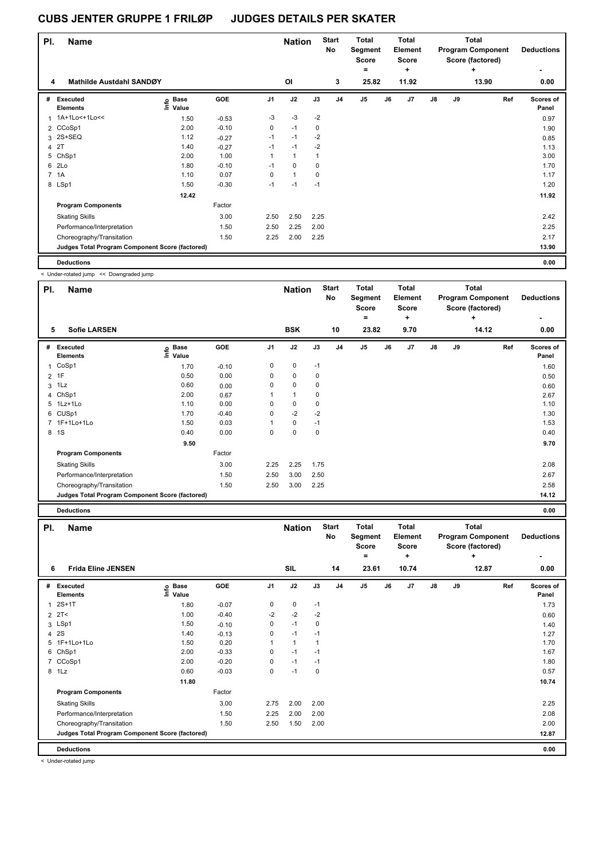| PI. | <b>Name</b>                                     |                   |         |                | <b>Nation</b> |             | <b>Start</b><br>No | <b>Total</b><br>Segment<br><b>Score</b> |    | Total<br>Element<br><b>Score</b> |    |    | Total<br><b>Program Component</b><br>Score (factored) | <b>Deductions</b>  |
|-----|-------------------------------------------------|-------------------|---------|----------------|---------------|-------------|--------------------|-----------------------------------------|----|----------------------------------|----|----|-------------------------------------------------------|--------------------|
| 4   | Mathilde Austdahl SANDØY                        |                   |         |                | OI            |             | 3                  | $=$<br>25.82                            |    | ÷<br>11.92                       |    |    | ٠<br>13.90                                            | 0.00               |
|     |                                                 |                   |         |                |               |             |                    |                                         |    |                                  |    |    |                                                       |                    |
| #   | Executed<br><b>Elements</b>                     | e Base<br>E Value | GOE     | J <sub>1</sub> | J2            | J3          | J <sub>4</sub>     | J <sub>5</sub>                          | J6 | J7                               | J8 | J9 | Ref                                                   | Scores of<br>Panel |
| 1   | 1A+1Lo<+1Lo<<                                   | 1.50              | $-0.53$ | $-3$           | $-3$          | $-2$        |                    |                                         |    |                                  |    |    |                                                       | 0.97               |
|     | 2 CCoSp1                                        | 2.00              | $-0.10$ | $\mathbf 0$    | $-1$          | $\mathbf 0$ |                    |                                         |    |                                  |    |    |                                                       | 1.90               |
|     | 3 2S+SEQ                                        | 1.12              | $-0.27$ | $-1$           | $-1$          | $-2$        |                    |                                         |    |                                  |    |    |                                                       | 0.85               |
|     | 4 2T                                            | 1.40              | $-0.27$ | $-1$           | $-1$          | $-2$        |                    |                                         |    |                                  |    |    |                                                       | 1.13               |
|     | 5 ChSp1                                         | 2.00              | 1.00    | 1              | $\mathbf{1}$  | 1           |                    |                                         |    |                                  |    |    |                                                       | 3.00               |
|     | 6 2Lo                                           | 1.80              | $-0.10$ | $-1$           | $\mathbf 0$   | $\mathbf 0$ |                    |                                         |    |                                  |    |    |                                                       | 1.70               |
|     | 7 1A                                            | 1.10              | 0.07    | 0              | $\mathbf{1}$  | $\mathbf 0$ |                    |                                         |    |                                  |    |    |                                                       | 1.17               |
|     | 8 LSp1                                          | 1.50              | $-0.30$ | $-1$           | $-1$          | $-1$        |                    |                                         |    |                                  |    |    |                                                       | 1.20               |
|     |                                                 | 12.42             |         |                |               |             |                    |                                         |    |                                  |    |    |                                                       | 11.92              |
|     | <b>Program Components</b>                       |                   | Factor  |                |               |             |                    |                                         |    |                                  |    |    |                                                       |                    |
|     | <b>Skating Skills</b>                           |                   | 3.00    | 2.50           | 2.50          | 2.25        |                    |                                         |    |                                  |    |    |                                                       | 2.42               |
|     | Performance/Interpretation                      |                   | 1.50    | 2.50           | 2.25          | 2.00        |                    |                                         |    |                                  |    |    |                                                       | 2.25               |
|     | Choreography/Transitation                       |                   | 1.50    | 2.25           | 2.00          | 2.25        |                    |                                         |    |                                  |    |    |                                                       | 2.17               |
|     | Judges Total Program Component Score (factored) |                   |         |                |               |             |                    |                                         |    |                                  |    |    |                                                       | 13.90              |
|     | <b>Deductions</b>                               |                   |         |                |               |             |                    |                                         |    |                                  |    |    |                                                       | 0.00               |

< Under-rotated jump << Downgraded jump

| PI. | <b>Name</b><br><b>Sofie LARSEN</b>              |                   |         |      | <b>Nation</b> |             | <b>Start</b><br><b>No</b> | <b>Total</b><br>Segment<br><b>Score</b><br>$\equiv$ |    | <b>Total</b><br><b>Element</b><br><b>Score</b><br>٠ |               |    | <b>Total</b><br><b>Program Component</b><br>Score (factored)<br>÷ | <b>Deductions</b><br>٠ |
|-----|-------------------------------------------------|-------------------|---------|------|---------------|-------------|---------------------------|-----------------------------------------------------|----|-----------------------------------------------------|---------------|----|-------------------------------------------------------------------|------------------------|
| 5   |                                                 |                   |         |      | <b>BSK</b>    |             | 10                        | 23.82                                               |    | 9.70                                                |               |    | 14.12                                                             | 0.00                   |
| #   | <b>Executed</b><br><b>Elements</b>              | e Base<br>⊆ Value | GOE     | J1   | J2            | J3          | J <sub>4</sub>            | J <sub>5</sub>                                      | J6 | J7                                                  | $\mathsf{J}8$ | J9 | Ref                                                               | Scores of<br>Panel     |
| 1   | CoSp1                                           | 1.70              | $-0.10$ | 0    | 0             | $-1$        |                           |                                                     |    |                                                     |               |    |                                                                   | 1.60                   |
|     | 2 1F                                            | 0.50              | 0.00    | 0    | 0             | 0           |                           |                                                     |    |                                                     |               |    |                                                                   | 0.50                   |
| 3   | 1Lz                                             | 0.60              | 0.00    | 0    | $\mathbf 0$   | 0           |                           |                                                     |    |                                                     |               |    |                                                                   | 0.60                   |
| 4   | ChSp1                                           | 2.00              | 0.67    |      | $\mathbf{1}$  | $\mathbf 0$ |                           |                                                     |    |                                                     |               |    |                                                                   | 2.67                   |
|     | 5 1Lz+1Lo                                       | 1.10              | 0.00    | 0    | 0             | 0           |                           |                                                     |    |                                                     |               |    |                                                                   | 1.10                   |
| 6   | CUSp1                                           | 1.70              | $-0.40$ | 0    | $-2$          | $-2$        |                           |                                                     |    |                                                     |               |    |                                                                   | 1.30                   |
|     | 7 1F+1Lo+1Lo                                    | 1.50              | 0.03    | 1    | 0             | $-1$        |                           |                                                     |    |                                                     |               |    |                                                                   | 1.53                   |
|     | 8 1 S                                           | 0.40              | 0.00    | 0    | $\mathbf 0$   | $\mathbf 0$ |                           |                                                     |    |                                                     |               |    |                                                                   | 0.40                   |
|     |                                                 | 9.50              |         |      |               |             |                           |                                                     |    |                                                     |               |    |                                                                   | 9.70                   |
|     | <b>Program Components</b>                       |                   | Factor  |      |               |             |                           |                                                     |    |                                                     |               |    |                                                                   |                        |
|     | <b>Skating Skills</b>                           |                   | 3.00    | 2.25 | 2.25          | 1.75        |                           |                                                     |    |                                                     |               |    |                                                                   | 2.08                   |
|     | Performance/Interpretation                      |                   | 1.50    | 2.50 | 3.00          | 2.50        |                           |                                                     |    |                                                     |               |    |                                                                   | 2.67                   |
|     | Choreography/Transitation                       |                   | 1.50    | 2.50 | 3.00          | 2.25        |                           |                                                     |    |                                                     |               |    |                                                                   | 2.58                   |
|     | Judges Total Program Component Score (factored) |                   |         |      |               |             |                           |                                                     |    |                                                     |               |    |                                                                   | 14.12                  |
|     | <b>Deductions</b>                               |                   |         |      |               |             |                           |                                                     |    |                                                     |               |    |                                                                   | 0.00                   |

| PI.            | <b>Name</b>                                     |                            |         |                | <b>Nation</b> |      | <b>Start</b><br><b>No</b> | <b>Total</b><br>Segment<br>Score<br>= |    | Total<br>Element<br><b>Score</b><br>٠ |               |    | <b>Total</b><br><b>Program Component</b><br>Score (factored)<br>٠ | <b>Deductions</b>  |
|----------------|-------------------------------------------------|----------------------------|---------|----------------|---------------|------|---------------------------|---------------------------------------|----|---------------------------------------|---------------|----|-------------------------------------------------------------------|--------------------|
| 6              | <b>Frida Eline JENSEN</b>                       |                            |         |                | SIL           |      | 14                        | 23.61                                 |    | 10.74                                 |               |    | 12.87                                                             | 0.00               |
| #              | <b>Executed</b><br><b>Elements</b>              | e Base<br>E Value<br>Value | GOE     | J <sub>1</sub> | J2            | J3   | J <sub>4</sub>            | J5                                    | J6 | J7                                    | $\mathsf{J}8$ | J9 | Ref                                                               | Scores of<br>Panel |
| 1              | $2S+1T$                                         | 1.80                       | $-0.07$ | 0              | $\pmb{0}$     | $-1$ |                           |                                       |    |                                       |               |    |                                                                   | 1.73               |
|                | $2$ 2T<                                         | 1.00                       | $-0.40$ | $-2$           | $-2$          | $-2$ |                           |                                       |    |                                       |               |    |                                                                   | 0.60               |
|                | 3 LSp1                                          | 1.50                       | $-0.10$ | 0              | $-1$          | 0    |                           |                                       |    |                                       |               |    |                                                                   | 1.40               |
|                | 4 2 S                                           | 1.40                       | $-0.13$ | 0              | $-1$          | $-1$ |                           |                                       |    |                                       |               |    |                                                                   | 1.27               |
|                | 5 1F+1Lo+1Lo                                    | 1.50                       | 0.20    |                | $\mathbf{1}$  |      |                           |                                       |    |                                       |               |    |                                                                   | 1.70               |
|                | 6 ChSp1                                         | 2.00                       | $-0.33$ | 0              | $-1$          | $-1$ |                           |                                       |    |                                       |               |    |                                                                   | 1.67               |
| $\overline{7}$ | CCoSp1                                          | 2.00                       | $-0.20$ | 0              | $-1$          | $-1$ |                           |                                       |    |                                       |               |    |                                                                   | 1.80               |
|                | 8 1Lz                                           | 0.60                       | $-0.03$ | 0              | $-1$          | 0    |                           |                                       |    |                                       |               |    |                                                                   | 0.57               |
|                |                                                 | 11.80                      |         |                |               |      |                           |                                       |    |                                       |               |    |                                                                   | 10.74              |
|                | <b>Program Components</b>                       |                            | Factor  |                |               |      |                           |                                       |    |                                       |               |    |                                                                   |                    |
|                | <b>Skating Skills</b>                           |                            | 3.00    | 2.75           | 2.00          | 2.00 |                           |                                       |    |                                       |               |    |                                                                   | 2.25               |
|                | Performance/Interpretation                      |                            | 1.50    | 2.25           | 2.00          | 2.00 |                           |                                       |    |                                       |               |    |                                                                   | 2.08               |
|                | Choreography/Transitation                       |                            | 1.50    | 2.50           | 1.50          | 2.00 |                           |                                       |    |                                       |               |    |                                                                   | 2.00               |
|                | Judges Total Program Component Score (factored) |                            |         |                |               |      |                           |                                       |    |                                       |               |    |                                                                   | 12.87              |
|                | <b>Deductions</b>                               |                            |         |                |               |      |                           |                                       |    |                                       |               |    |                                                                   | 0.00               |

< Under-rotated jump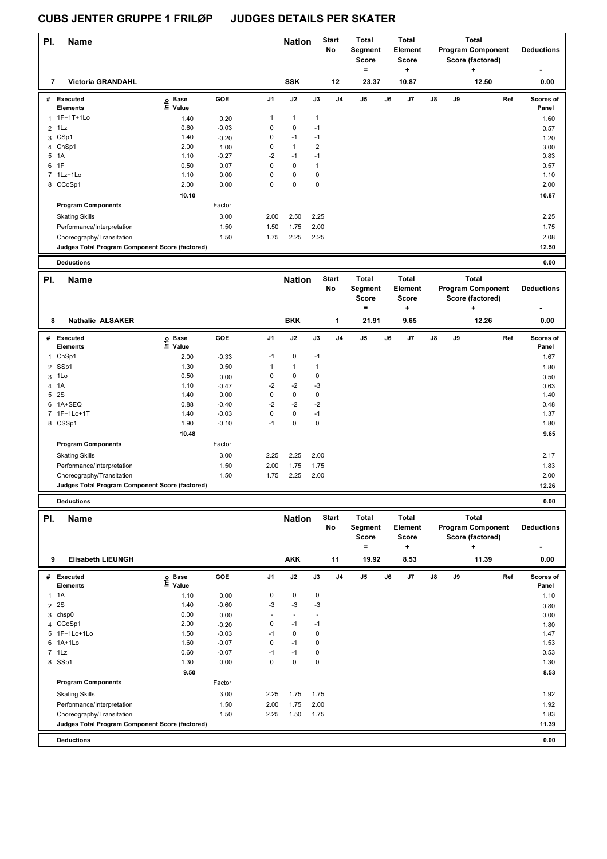| PI.            | <b>Name</b>                                     |                            |         |             | <b>Nation</b> |                | <b>Start</b><br>No | <b>Total</b><br>Segment<br><b>Score</b> |    | <b>Total</b><br><b>Element</b><br><b>Score</b> |    |    | <b>Total</b><br><b>Program Component</b><br>Score (factored)      |     | <b>Deductions</b>  |
|----------------|-------------------------------------------------|----------------------------|---------|-------------|---------------|----------------|--------------------|-----------------------------------------|----|------------------------------------------------|----|----|-------------------------------------------------------------------|-----|--------------------|
| 7              | <b>Victoria GRANDAHL</b>                        |                            |         |             | <b>SSK</b>    |                | 12                 | $=$<br>23.37                            |    | ÷<br>10.87                                     |    |    | ٠<br>12.50                                                        |     | 0.00               |
|                | # Executed<br>Elements                          | e Base<br>E Value<br>Value | GOE     | J1          | J2            | J3             | J <sub>4</sub>     | J5                                      | J6 | J7                                             | J8 | J9 |                                                                   | Ref | Scores of<br>Panel |
| $\mathbf{1}$   | 1F+1T+1Lo                                       | 1.40                       | 0.20    | 1           | 1             | $\mathbf{1}$   |                    |                                         |    |                                                |    |    |                                                                   |     | 1.60               |
| $\overline{2}$ | 1Lz                                             | 0.60                       | $-0.03$ | $\mathsf 0$ | 0             | $-1$           |                    |                                         |    |                                                |    |    |                                                                   |     | 0.57               |
| 3              | CSp1                                            | 1.40                       | $-0.20$ | 0           | $-1$          | $-1$           |                    |                                         |    |                                                |    |    |                                                                   |     | 1.20               |
| 4              | ChSp1                                           | 2.00                       | 1.00    | 0           | $\mathbf{1}$  | $\overline{c}$ |                    |                                         |    |                                                |    |    |                                                                   |     | 3.00               |
| 5              | 1A                                              | 1.10                       | $-0.27$ | $-2$        | $-1$          | $-1$           |                    |                                         |    |                                                |    |    |                                                                   |     | 0.83               |
| 6              | 1F                                              | 0.50                       | 0.07    | $\mathsf 0$ | 0             | $\mathbf{1}$   |                    |                                         |    |                                                |    |    |                                                                   |     | 0.57               |
| 7              | 1Lz+1Lo                                         | 1.10                       | 0.00    | $\mathsf 0$ | 0             | $\mathbf 0$    |                    |                                         |    |                                                |    |    |                                                                   |     | 1.10               |
|                | 8 CCoSp1                                        | 2.00                       | 0.00    | 0           | 0             | 0              |                    |                                         |    |                                                |    |    |                                                                   |     | 2.00               |
|                |                                                 | 10.10                      |         |             |               |                |                    |                                         |    |                                                |    |    |                                                                   |     | 10.87              |
|                | <b>Program Components</b>                       |                            | Factor  |             |               |                |                    |                                         |    |                                                |    |    |                                                                   |     |                    |
|                | <b>Skating Skills</b>                           |                            | 3.00    | 2.00        | 2.50          | 2.25           |                    |                                         |    |                                                |    |    |                                                                   |     | 2.25               |
|                | Performance/Interpretation                      |                            | 1.50    | 1.50        | 1.75          | 2.00           |                    |                                         |    |                                                |    |    |                                                                   |     | 1.75               |
|                | Choreography/Transitation                       |                            | 1.50    | 1.75        | 2.25          | 2.25           |                    |                                         |    |                                                |    |    |                                                                   |     | 2.08               |
|                | Judges Total Program Component Score (factored) |                            |         |             |               |                |                    |                                         |    |                                                |    |    |                                                                   |     | 12.50              |
|                | <b>Deductions</b>                               |                            |         |             |               |                |                    |                                         |    |                                                |    |    |                                                                   |     | 0.00               |
|                |                                                 |                            |         |             |               |                |                    |                                         |    |                                                |    |    |                                                                   |     |                    |
| PI.            | <b>Name</b>                                     |                            |         |             | <b>Nation</b> |                | <b>Start</b><br>No | <b>Total</b><br>Segment<br><b>Score</b> |    | <b>Total</b><br><b>Element</b><br><b>Score</b> |    |    | <b>Total</b><br><b>Program Component</b><br>Score (factored)      |     | <b>Deductions</b>  |
| 8              | <b>Nathalie ALSAKER</b>                         |                            |         |             | <b>BKK</b>    |                | 1                  | $=$<br>21.91                            |    | ٠<br>9.65                                      |    |    | +<br>12.26                                                        |     | 0.00               |
|                |                                                 |                            |         |             |               |                |                    |                                         |    |                                                |    |    |                                                                   |     |                    |
|                | # Executed<br>Elements                          | e Base<br>E Value<br>Value | GOE     | J1          | J2            | J3             | J <sub>4</sub>     | J5                                      | J6 | J7                                             | J8 | J9 |                                                                   | Ref | Scores of<br>Panel |
| 1              | ChSp1                                           | 2.00                       | $-0.33$ | $-1$        | 0             | $-1$           |                    |                                         |    |                                                |    |    |                                                                   |     | 1.67               |
| $\overline{2}$ | SSp1                                            | 1.30                       | 0.50    | 1           | 1             | $\mathbf{1}$   |                    |                                         |    |                                                |    |    |                                                                   |     | 1.80               |
| 3              | 1Lo                                             | 0.50                       | 0.00    | 0           | 0             | 0              |                    |                                         |    |                                                |    |    |                                                                   |     | 0.50               |
| 4              | 1A                                              | 1.10                       | $-0.47$ | -2          | $-2$          | -3             |                    |                                         |    |                                                |    |    |                                                                   |     | 0.63               |
| 5              | 2S                                              | 1.40                       | 0.00    | 0           | 0             | 0              |                    |                                         |    |                                                |    |    |                                                                   |     | 1.40               |
|                | 6 1A+SEQ                                        | 0.88                       | $-0.40$ | $-2$        | $-2$          | $-2$           |                    |                                         |    |                                                |    |    |                                                                   |     | 0.48               |
| 7              | 1F+1Lo+1T                                       | 1.40                       | $-0.03$ | $\mathsf 0$ | $\pmb{0}$     | $-1$           |                    |                                         |    |                                                |    |    |                                                                   |     | 1.37               |
|                | 8 CSSp1                                         | 1.90                       | $-0.10$ | $-1$        | 0             | 0              |                    |                                         |    |                                                |    |    |                                                                   |     | 1.80               |
|                |                                                 | 10.48                      |         |             |               |                |                    |                                         |    |                                                |    |    |                                                                   |     | 9.65               |
|                | <b>Program Components</b>                       |                            | Factor  |             |               |                |                    |                                         |    |                                                |    |    |                                                                   |     |                    |
|                | <b>Skating Skills</b>                           |                            | 3.00    | 2.25        | 2.25          | 2.00           |                    |                                         |    |                                                |    |    |                                                                   |     | 2.17               |
|                | Performance/Interpretation                      |                            | 1.50    | 2.00        | 1.75          | 1.75           |                    |                                         |    |                                                |    |    |                                                                   |     | 1.83               |
|                | Choreography/Transitation                       |                            | 1.50    | 1.75        | 2.25          | 2.00           |                    |                                         |    |                                                |    |    |                                                                   |     | 2.00               |
|                | Judges Total Program Component Score (factored) |                            |         |             |               |                |                    |                                         |    |                                                |    |    |                                                                   |     | 12.26              |
|                |                                                 |                            |         |             |               |                |                    |                                         |    |                                                |    |    |                                                                   |     |                    |
|                | <b>Deductions</b>                               |                            |         |             |               |                |                    |                                         |    |                                                |    |    |                                                                   |     | 0.00               |
| PI.            | <b>Name</b>                                     |                            |         |             | <b>Nation</b> |                | <b>Start</b><br>No | Total<br>Segment<br>Score<br>$=$        |    | Total<br>Element<br><b>Score</b><br>÷          |    |    | <b>Total</b><br><b>Program Component</b><br>Score (factored)<br>٠ |     | <b>Deductions</b>  |
| 9              | <b>Elisabeth LIEUNGH</b>                        |                            |         |             | <b>AKK</b>    |                | 11                 | 19.92                                   |    | 8.53                                           |    |    | 11.39                                                             |     | 0.00               |
|                | # Executed                                      |                            | GOE     | J1          | J2            | J3             | J4                 | J5                                      | J6 | J7                                             | J8 | J9 |                                                                   | Ref | Scores of          |
|                | <b>Elements</b>                                 | e Base<br>⊆ Value          |         |             |               |                |                    |                                         |    |                                                |    |    |                                                                   |     | Panel              |
|                | $1 \t1A$                                        | 1.10                       | 0.00    | 0           | 0             | 0              |                    |                                         |    |                                                |    |    |                                                                   |     | 1.10               |
| $\overline{2}$ | 2S                                              | 1.40                       | $-0.60$ | $-3$        | $-3$          | $-3$           |                    |                                         |    |                                                |    |    |                                                                   |     | 0.80               |
| 3              | chsp0                                           | 0.00                       | 0.00    | $\sim$      | ä,            |                |                    |                                         |    |                                                |    |    |                                                                   |     | 0.00               |
|                | 4 CCoSp1                                        | 2.00                       | $-0.20$ | 0           | $-1$          | $-1$           |                    |                                         |    |                                                |    |    |                                                                   |     | 1.80               |
|                | 5 1F+1Lo+1Lo                                    | 1.50                       | $-0.03$ | $-1$        | 0             | 0              |                    |                                         |    |                                                |    |    |                                                                   |     | 1.47               |
|                | 6 1A+1Lo                                        | 1.60                       | $-0.07$ | 0           | $-1$          | 0              |                    |                                         |    |                                                |    |    |                                                                   |     | 1.53               |
|                | $7$ 1 Lz                                        | 0.60                       | $-0.07$ | $-1$        | $-1$          | 0              |                    |                                         |    |                                                |    |    |                                                                   |     | 0.53               |
|                | 8 SSp1                                          | 1.30                       | 0.00    | $\mathbf 0$ | 0             | 0              |                    |                                         |    |                                                |    |    |                                                                   |     | 1.30               |
|                |                                                 | 9.50                       |         |             |               |                |                    |                                         |    |                                                |    |    |                                                                   |     | 8.53               |
|                | <b>Program Components</b>                       |                            | Factor  |             |               |                |                    |                                         |    |                                                |    |    |                                                                   |     |                    |
|                | <b>Skating Skills</b>                           |                            | 3.00    | 2.25        | 1.75          | 1.75           |                    |                                         |    |                                                |    |    |                                                                   |     | 1.92               |
|                | Performance/Interpretation                      |                            | 1.50    | 2.00        | 1.75          | 2.00           |                    |                                         |    |                                                |    |    |                                                                   |     | 1.92               |
|                | Choreography/Transitation                       |                            | 1.50    | 2.25        | 1.50          | 1.75           |                    |                                         |    |                                                |    |    |                                                                   |     | 1.83               |
|                | Judges Total Program Component Score (factored) |                            |         |             |               |                |                    |                                         |    |                                                |    |    |                                                                   |     | 11.39              |
|                | <b>Deductions</b>                               |                            |         |             |               |                |                    |                                         |    |                                                |    |    |                                                                   |     | 0.00               |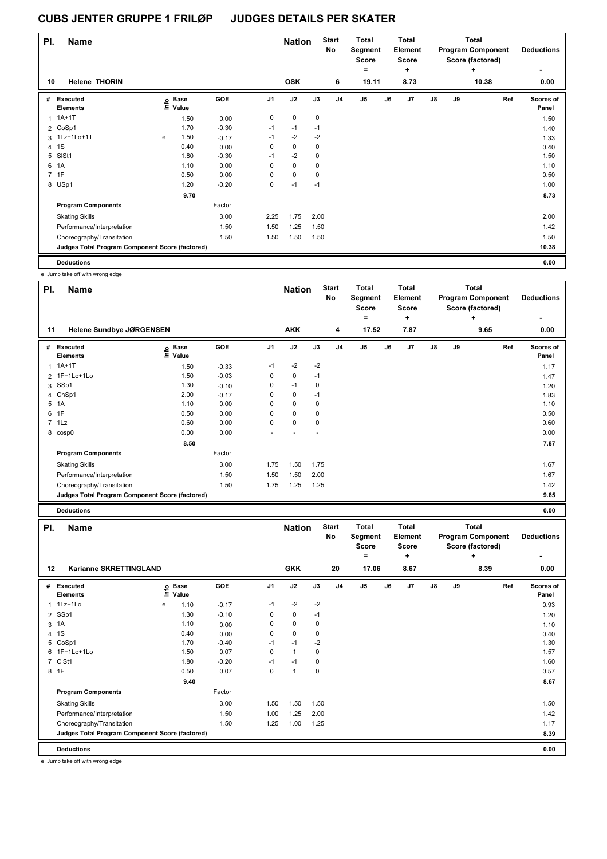| PI.            | <b>Name</b>                                     |   |                   |         |                | <b>Nation</b> |             | <b>Start</b><br>No | Total<br>Segment<br><b>Score</b> |    | Total<br>Element<br>Score |               |    | Total<br><b>Program Component</b><br>Score (factored) | <b>Deductions</b>  |
|----------------|-------------------------------------------------|---|-------------------|---------|----------------|---------------|-------------|--------------------|----------------------------------|----|---------------------------|---------------|----|-------------------------------------------------------|--------------------|
| 10             | <b>Helene THORIN</b>                            |   |                   |         |                | <b>OSK</b>    |             | 6                  | $\equiv$<br>19.11                |    | ٠<br>8.73                 |               |    | ÷<br>10.38                                            | ٠<br>0.00          |
|                |                                                 |   |                   |         |                |               |             |                    |                                  |    |                           |               |    |                                                       |                    |
| #              | Executed<br><b>Elements</b>                     |   | e Base<br>E Value | GOE     | J <sub>1</sub> | J2            | J3          | J <sub>4</sub>     | J <sub>5</sub>                   | J6 | J7                        | $\mathsf{J}8$ | J9 | Ref                                                   | Scores of<br>Panel |
| 1              | $1A+1T$                                         |   | 1.50              | 0.00    | $\mathbf 0$    | 0             | $\mathbf 0$ |                    |                                  |    |                           |               |    |                                                       | 1.50               |
|                | 2 CoSp1                                         |   | 1.70              | $-0.30$ | $-1$           | $-1$          | $-1$        |                    |                                  |    |                           |               |    |                                                       | 1.40               |
|                | 3 1Lz+1Lo+1T                                    | e | 1.50              | $-0.17$ | $-1$           | $-2$          | $-2$        |                    |                                  |    |                           |               |    |                                                       | 1.33               |
| $\overline{4}$ | 1S                                              |   | 0.40              | 0.00    | 0              | $\mathbf 0$   | 0           |                    |                                  |    |                           |               |    |                                                       | 0.40               |
| 5              | SISt1                                           |   | 1.80              | $-0.30$ | $-1$           | $-2$          | $\mathbf 0$ |                    |                                  |    |                           |               |    |                                                       | 1.50               |
| 6              | 1A                                              |   | 1.10              | 0.00    | 0              | $\mathbf 0$   | 0           |                    |                                  |    |                           |               |    |                                                       | 1.10               |
|                | 7 1F                                            |   | 0.50              | 0.00    | 0              | $\mathbf 0$   | $\mathbf 0$ |                    |                                  |    |                           |               |    |                                                       | 0.50               |
|                | 8 USp1                                          |   | 1.20              | $-0.20$ | 0              | $-1$          | $-1$        |                    |                                  |    |                           |               |    |                                                       | 1.00               |
|                |                                                 |   | 9.70              |         |                |               |             |                    |                                  |    |                           |               |    |                                                       | 8.73               |
|                | <b>Program Components</b>                       |   |                   | Factor  |                |               |             |                    |                                  |    |                           |               |    |                                                       |                    |
|                | <b>Skating Skills</b>                           |   |                   | 3.00    | 2.25           | 1.75          | 2.00        |                    |                                  |    |                           |               |    |                                                       | 2.00               |
|                | Performance/Interpretation                      |   |                   | 1.50    | 1.50           | 1.25          | 1.50        |                    |                                  |    |                           |               |    |                                                       | 1.42               |
|                | Choreography/Transitation                       |   |                   | 1.50    | 1.50           | 1.50          | 1.50        |                    |                                  |    |                           |               |    |                                                       | 1.50               |
|                | Judges Total Program Component Score (factored) |   |                   |         |                |               |             |                    |                                  |    |                           |               |    |                                                       | 10.38              |
|                | <b>Deductions</b>                               |   |                   |         |                |               |             |                    |                                  |    |                           |               |    |                                                       | 0.00               |

e Jump take off with wrong edge

| PI.            | Name                                            |                           |         |                | <b>Nation</b> |      | <b>Start</b><br>No | <b>Total</b><br>Segment<br><b>Score</b><br>= |    | Total<br>Element<br><b>Score</b><br>÷ |               |    | <b>Total</b><br><b>Program Component</b><br>Score (factored)<br>÷ | <b>Deductions</b>         |
|----------------|-------------------------------------------------|---------------------------|---------|----------------|---------------|------|--------------------|----------------------------------------------|----|---------------------------------------|---------------|----|-------------------------------------------------------------------|---------------------------|
| 11             | Helene Sundbye JØRGENSEN                        |                           |         |                | <b>AKK</b>    |      | 4                  | 17.52                                        |    | 7.87                                  |               |    | 9.65                                                              | 0.00                      |
| #              | Executed<br><b>Elements</b>                     | <b>Base</b><br>e<br>Value | GOE     | J <sub>1</sub> | J2            | J3   | J <sub>4</sub>     | J5                                           | J6 | J7                                    | $\mathsf{J}8$ | J9 | Ref                                                               | <b>Scores of</b><br>Panel |
|                | $1A+1T$                                         | 1.50                      | $-0.33$ | $-1$           | $-2$          | $-2$ |                    |                                              |    |                                       |               |    |                                                                   | 1.17                      |
|                | 2 1F+1Lo+1Lo                                    | 1.50                      | $-0.03$ | 0              | 0             | $-1$ |                    |                                              |    |                                       |               |    |                                                                   | 1.47                      |
| 3              | SSp1                                            | 1.30                      | $-0.10$ | 0              | $-1$          | 0    |                    |                                              |    |                                       |               |    |                                                                   | 1.20                      |
| 4              | ChSp1                                           | 2.00                      | $-0.17$ | 0              | $\mathbf 0$   | $-1$ |                    |                                              |    |                                       |               |    |                                                                   | 1.83                      |
| 5              | 1A                                              | 1.10                      | 0.00    | 0              | $\mathbf 0$   | 0    |                    |                                              |    |                                       |               |    |                                                                   | 1.10                      |
| 6              | 1F                                              | 0.50                      | 0.00    | 0              | $\mathbf 0$   | 0    |                    |                                              |    |                                       |               |    |                                                                   | 0.50                      |
| $\overline{7}$ | 1Lz                                             | 0.60                      | 0.00    | 0              | $\mathbf 0$   | 0    |                    |                                              |    |                                       |               |    |                                                                   | 0.60                      |
|                | 8 cosp0                                         | 0.00                      | 0.00    |                |               |      |                    |                                              |    |                                       |               |    |                                                                   | 0.00                      |
|                |                                                 | 8.50                      |         |                |               |      |                    |                                              |    |                                       |               |    |                                                                   | 7.87                      |
|                | <b>Program Components</b>                       |                           | Factor  |                |               |      |                    |                                              |    |                                       |               |    |                                                                   |                           |
|                | <b>Skating Skills</b>                           |                           | 3.00    | 1.75           | 1.50          | 1.75 |                    |                                              |    |                                       |               |    |                                                                   | 1.67                      |
|                | Performance/Interpretation                      |                           | 1.50    | 1.50           | 1.50          | 2.00 |                    |                                              |    |                                       |               |    |                                                                   | 1.67                      |
|                | Choreography/Transitation                       |                           | 1.50    | 1.75           | 1.25          | 1.25 |                    |                                              |    |                                       |               |    |                                                                   | 1.42                      |
|                | Judges Total Program Component Score (factored) |                           |         |                |               |      |                    |                                              |    |                                       |               |    |                                                                   | 9.65                      |
|                | <b>Deductions</b>                               |                           |         |                |               |      |                    |                                              |    |                                       |               |    |                                                                   | 0.00                      |

| PI.            | <b>Name</b>                                     |   |                            |            |                | <b>Nation</b>  |      | <b>Start</b><br><b>No</b> | <b>Total</b><br>Segment<br><b>Score</b> |    | <b>Total</b><br>Element<br><b>Score</b> |               |    | <b>Total</b><br><b>Program Component</b><br>Score (factored) | <b>Deductions</b>  |
|----------------|-------------------------------------------------|---|----------------------------|------------|----------------|----------------|------|---------------------------|-----------------------------------------|----|-----------------------------------------|---------------|----|--------------------------------------------------------------|--------------------|
| 12             | Karianne SKRETTINGLAND                          |   |                            |            |                | <b>GKK</b>     |      | 20                        | =<br>17.06                              |    | ٠<br>8.67                               |               |    | ٠<br>8.39                                                    | 0.00               |
| #              | Executed<br><b>Elements</b>                     |   | e Base<br>E Value<br>Value | <b>GOE</b> | J <sub>1</sub> | J2             | J3   | J <sub>4</sub>            | J5                                      | J6 | J <sub>7</sub>                          | $\mathsf{J}8$ | J9 | Ref                                                          | Scores of<br>Panel |
|                | 1 1Lz+1Lo                                       | e | 1.10                       | $-0.17$    | $-1$           | $-2$           | $-2$ |                           |                                         |    |                                         |               |    |                                                              | 0.93               |
|                | 2 SSp1                                          |   | 1.30                       | $-0.10$    | 0              | $\pmb{0}$      | $-1$ |                           |                                         |    |                                         |               |    |                                                              | 1.20               |
| 3              | 1A                                              |   | 1.10                       | 0.00       | 0              | $\mathbf 0$    | 0    |                           |                                         |    |                                         |               |    |                                                              | 1.10               |
|                | 4 1 S                                           |   | 0.40                       | 0.00       | 0              | $\mathbf 0$    | 0    |                           |                                         |    |                                         |               |    |                                                              | 0.40               |
|                | 5 CoSp1                                         |   | 1.70                       | $-0.40$    | $-1$           | $-1$           | $-2$ |                           |                                         |    |                                         |               |    |                                                              | 1.30               |
|                | 6 1F+1Lo+1Lo                                    |   | 1.50                       | 0.07       | 0              | $\mathbf{1}$   | 0    |                           |                                         |    |                                         |               |    |                                                              | 1.57               |
| $\overline{7}$ | CiSt1                                           |   | 1.80                       | $-0.20$    | $-1$           | $-1$           | 0    |                           |                                         |    |                                         |               |    |                                                              | 1.60               |
|                | 8 1F                                            |   | 0.50                       | 0.07       | 0              | $\overline{1}$ | 0    |                           |                                         |    |                                         |               |    |                                                              | 0.57               |
|                |                                                 |   | 9.40                       |            |                |                |      |                           |                                         |    |                                         |               |    |                                                              | 8.67               |
|                | <b>Program Components</b>                       |   |                            | Factor     |                |                |      |                           |                                         |    |                                         |               |    |                                                              |                    |
|                | <b>Skating Skills</b>                           |   |                            | 3.00       | 1.50           | 1.50           | 1.50 |                           |                                         |    |                                         |               |    |                                                              | 1.50               |
|                | Performance/Interpretation                      |   |                            | 1.50       | 1.00           | 1.25           | 2.00 |                           |                                         |    |                                         |               |    |                                                              | 1.42               |
|                | Choreography/Transitation                       |   |                            | 1.50       | 1.25           | 1.00           | 1.25 |                           |                                         |    |                                         |               |    |                                                              | 1.17               |
|                | Judges Total Program Component Score (factored) |   |                            |            |                |                |      |                           |                                         |    |                                         |               |    |                                                              | 8.39               |
|                | <b>Deductions</b>                               |   |                            |            |                |                |      |                           |                                         |    |                                         |               |    |                                                              | 0.00               |

e Jump take off with wrong edge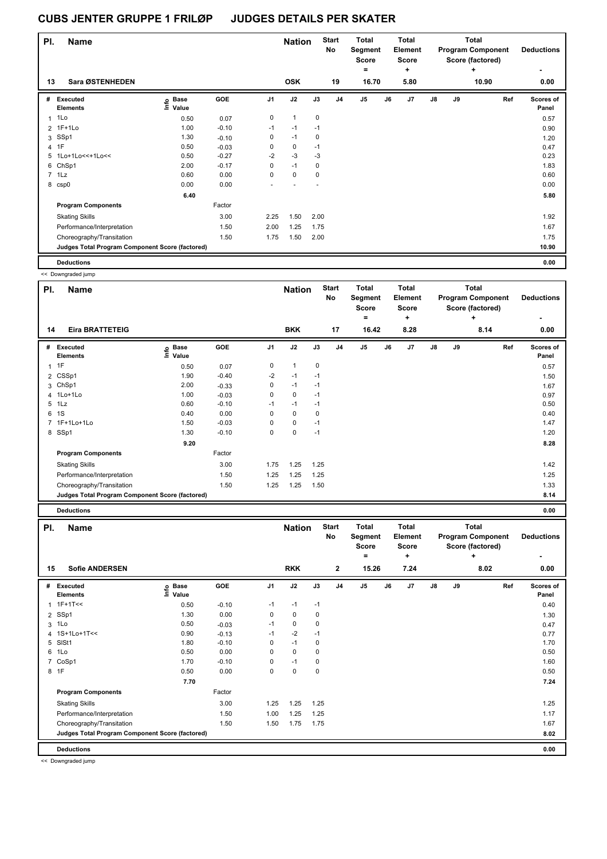| PI.            | <b>Name</b>                                     |                            |         |                | <b>Nation</b> |      | Start<br>No    | <b>Total</b><br>Segment<br><b>Score</b> |    | <b>Total</b><br>Element<br><b>Score</b> |            |    | <b>Total</b><br><b>Program Component</b><br>Score (factored) | <b>Deductions</b>  |
|----------------|-------------------------------------------------|----------------------------|---------|----------------|---------------|------|----------------|-----------------------------------------|----|-----------------------------------------|------------|----|--------------------------------------------------------------|--------------------|
|                |                                                 |                            |         |                |               |      |                | =                                       |    | ÷                                       |            |    | $\ddot{}$                                                    |                    |
| 13             | Sara ØSTENHEDEN                                 |                            |         |                | <b>OSK</b>    |      | 19             | 16.70                                   |    | 5.80                                    |            |    | 10.90                                                        | 0.00               |
| #              | Executed<br><b>Elements</b>                     | <b>Base</b><br>۴ô<br>Value | GOE     | J <sub>1</sub> | J2            | J3   | J <sub>4</sub> | J5                                      | J6 | J7                                      | ${\sf J8}$ | J9 | Ref                                                          | Scores of<br>Panel |
| 1              | 1Lo                                             | 0.50                       | 0.07    | 0              | $\mathbf{1}$  | 0    |                |                                         |    |                                         |            |    |                                                              | 0.57               |
| $\overline{2}$ | $1F+1Lo$                                        | 1.00                       | $-0.10$ | $-1$           | $-1$          | $-1$ |                |                                         |    |                                         |            |    |                                                              | 0.90               |
| 3              | SSp1                                            | 1.30                       | $-0.10$ | 0              | $-1$          | 0    |                |                                         |    |                                         |            |    |                                                              | 1.20               |
| 4              | 1F                                              | 0.50                       | $-0.03$ | 0              | 0             | $-1$ |                |                                         |    |                                         |            |    |                                                              | 0.47               |
| 5              | 1Lo+1Lo<<+1Lo<<                                 | 0.50                       | $-0.27$ | $-2$           | $-3$          | $-3$ |                |                                         |    |                                         |            |    |                                                              | 0.23               |
| 6              | ChSp1                                           | 2.00                       | $-0.17$ | 0              | $-1$          | 0    |                |                                         |    |                                         |            |    |                                                              | 1.83               |
| $\overline{7}$ | 1Lz                                             | 0.60                       | 0.00    | 0              | $\mathbf 0$   | 0    |                |                                         |    |                                         |            |    |                                                              | 0.60               |
| 8              | csp0                                            | 0.00                       | 0.00    |                |               |      |                |                                         |    |                                         |            |    |                                                              | 0.00               |
|                |                                                 | 6.40                       |         |                |               |      |                |                                         |    |                                         |            |    |                                                              | 5.80               |
|                | <b>Program Components</b>                       |                            | Factor  |                |               |      |                |                                         |    |                                         |            |    |                                                              |                    |
|                | <b>Skating Skills</b>                           |                            | 3.00    | 2.25           | 1.50          | 2.00 |                |                                         |    |                                         |            |    |                                                              | 1.92               |
|                | Performance/Interpretation                      |                            | 1.50    | 2.00           | 1.25          | 1.75 |                |                                         |    |                                         |            |    |                                                              | 1.67               |
|                | Choreography/Transitation                       |                            | 1.50    | 1.75           | 1.50          | 2.00 |                |                                         |    |                                         |            |    |                                                              | 1.75               |
|                | Judges Total Program Component Score (factored) |                            |         |                |               |      |                |                                         |    |                                         |            |    |                                                              | 10.90              |
|                | <b>Deductions</b>                               |                            |         |                |               |      |                |                                         |    |                                         |            |    |                                                              | 0.00               |

<< Downgraded jump

| PI. | <b>Name</b>                                     |                            |         |                | <b>Nation</b> |      | <b>Start</b><br>No | Total<br>Segment<br><b>Score</b><br>$=$ |    | <b>Total</b><br>Element<br><b>Score</b><br>÷ |               |    | Total<br><b>Program Component</b><br>Score (factored)<br>÷ | <b>Deductions</b><br>۰ |
|-----|-------------------------------------------------|----------------------------|---------|----------------|---------------|------|--------------------|-----------------------------------------|----|----------------------------------------------|---------------|----|------------------------------------------------------------|------------------------|
| 14  | <b>Eira BRATTETEIG</b>                          |                            |         |                | <b>BKK</b>    |      | 17                 | 16.42                                   |    | 8.28                                         |               |    | 8.14                                                       | 0.00                   |
| #   | <b>Executed</b><br><b>Elements</b>              | e Base<br>E Value<br>Value | GOE     | J <sub>1</sub> | J2            | J3   | J <sub>4</sub>     | J <sub>5</sub>                          | J6 | J7                                           | $\mathsf{J}8$ | J9 | Ref                                                        | Scores of<br>Panel     |
| 1   | 1F                                              | 0.50                       | 0.07    | 0              | 1             | 0    |                    |                                         |    |                                              |               |    |                                                            | 0.57                   |
|     | 2 CSSp1                                         | 1.90                       | $-0.40$ | $-2$           | $-1$          | $-1$ |                    |                                         |    |                                              |               |    |                                                            | 1.50                   |
| 3   | ChSp1                                           | 2.00                       | $-0.33$ | 0              | $-1$          | $-1$ |                    |                                         |    |                                              |               |    |                                                            | 1.67                   |
|     | 4 1Lo+1Lo                                       | 1.00                       | $-0.03$ | 0              | 0             | $-1$ |                    |                                         |    |                                              |               |    |                                                            | 0.97                   |
| 5   | 1Lz                                             | 0.60                       | $-0.10$ | $-1$           | $-1$          | $-1$ |                    |                                         |    |                                              |               |    |                                                            | 0.50                   |
| 6   | 1S                                              | 0.40                       | 0.00    | 0              | 0             | 0    |                    |                                         |    |                                              |               |    |                                                            | 0.40                   |
|     | 7 1F+1Lo+1Lo                                    | 1.50                       | $-0.03$ | 0              | 0             | $-1$ |                    |                                         |    |                                              |               |    |                                                            | 1.47                   |
|     | 8 SSp1                                          | 1.30                       | $-0.10$ | 0              | 0             | $-1$ |                    |                                         |    |                                              |               |    |                                                            | 1.20                   |
|     |                                                 | 9.20                       |         |                |               |      |                    |                                         |    |                                              |               |    |                                                            | 8.28                   |
|     | <b>Program Components</b>                       |                            | Factor  |                |               |      |                    |                                         |    |                                              |               |    |                                                            |                        |
|     | <b>Skating Skills</b>                           |                            | 3.00    | 1.75           | 1.25          | 1.25 |                    |                                         |    |                                              |               |    |                                                            | 1.42                   |
|     | Performance/Interpretation                      |                            | 1.50    | 1.25           | 1.25          | 1.25 |                    |                                         |    |                                              |               |    |                                                            | 1.25                   |
|     | Choreography/Transitation                       |                            | 1.50    | 1.25           | 1.25          | 1.50 |                    |                                         |    |                                              |               |    |                                                            | 1.33                   |
|     | Judges Total Program Component Score (factored) |                            |         |                |               |      |                    |                                         |    |                                              |               |    |                                                            | 8.14                   |
|     | <b>Deductions</b>                               |                            |         |                |               |      |                    |                                         |    |                                              |               |    |                                                            | 0.00                   |

| PI. | <b>Name</b>                                     |                            |         |                | <b>Nation</b> |      | <b>Start</b><br>No | <b>Total</b><br>Segment<br><b>Score</b><br>= |    | <b>Total</b><br>Element<br><b>Score</b><br>٠ |               |    | Total<br><b>Program Component</b><br>Score (factored)<br>÷ | <b>Deductions</b>  |
|-----|-------------------------------------------------|----------------------------|---------|----------------|---------------|------|--------------------|----------------------------------------------|----|----------------------------------------------|---------------|----|------------------------------------------------------------|--------------------|
| 15  | <b>Sofie ANDERSEN</b>                           |                            |         |                | <b>RKK</b>    |      | $\mathbf{2}$       | 15.26                                        |    | 7.24                                         |               |    | 8.02                                                       | 0.00               |
| #   | <b>Executed</b><br><b>Elements</b>              | e Base<br>E Value<br>Value | GOE     | J <sub>1</sub> | J2            | J3   | J <sub>4</sub>     | J <sub>5</sub>                               | J6 | J7                                           | $\mathsf{J}8$ | J9 | Ref                                                        | Scores of<br>Panel |
| 1   | $1F+1T<<$                                       | 0.50                       | $-0.10$ | $-1$           | $-1$          | $-1$ |                    |                                              |    |                                              |               |    |                                                            | 0.40               |
|     | 2 SSp1                                          | 1.30                       | 0.00    | 0              | $\mathbf 0$   | 0    |                    |                                              |    |                                              |               |    |                                                            | 1.30               |
| 3   | 1Lo                                             | 0.50                       | $-0.03$ | $-1$           | 0             | 0    |                    |                                              |    |                                              |               |    |                                                            | 0.47               |
|     | 4 1S+1Lo+1T<<                                   | 0.90                       | $-0.13$ | $-1$           | $-2$          | $-1$ |                    |                                              |    |                                              |               |    |                                                            | 0.77               |
| 5   | SISt1                                           | 1.80                       | $-0.10$ | $\Omega$       | $-1$          | 0    |                    |                                              |    |                                              |               |    |                                                            | 1.70               |
| 6   | 1Lo                                             | 0.50                       | 0.00    | 0              | $\mathbf 0$   | 0    |                    |                                              |    |                                              |               |    |                                                            | 0.50               |
| 7   | CoSp1                                           | 1.70                       | $-0.10$ | 0              | $-1$          | 0    |                    |                                              |    |                                              |               |    |                                                            | 1.60               |
|     | 8 1F                                            | 0.50                       | 0.00    | 0              | $\mathbf 0$   | 0    |                    |                                              |    |                                              |               |    |                                                            | 0.50               |
|     |                                                 | 7.70                       |         |                |               |      |                    |                                              |    |                                              |               |    |                                                            | 7.24               |
|     | <b>Program Components</b>                       |                            | Factor  |                |               |      |                    |                                              |    |                                              |               |    |                                                            |                    |
|     | <b>Skating Skills</b>                           |                            | 3.00    | 1.25           | 1.25          | 1.25 |                    |                                              |    |                                              |               |    |                                                            | 1.25               |
|     | Performance/Interpretation                      |                            | 1.50    | 1.00           | 1.25          | 1.25 |                    |                                              |    |                                              |               |    |                                                            | 1.17               |
|     | Choreography/Transitation                       |                            | 1.50    | 1.50           | 1.75          | 1.75 |                    |                                              |    |                                              |               |    |                                                            | 1.67               |
|     | Judges Total Program Component Score (factored) |                            |         |                |               |      |                    |                                              |    |                                              |               |    |                                                            | 8.02               |
|     | <b>Deductions</b>                               |                            |         |                |               |      |                    |                                              |    |                                              |               |    |                                                            | 0.00               |

<< Downgraded jump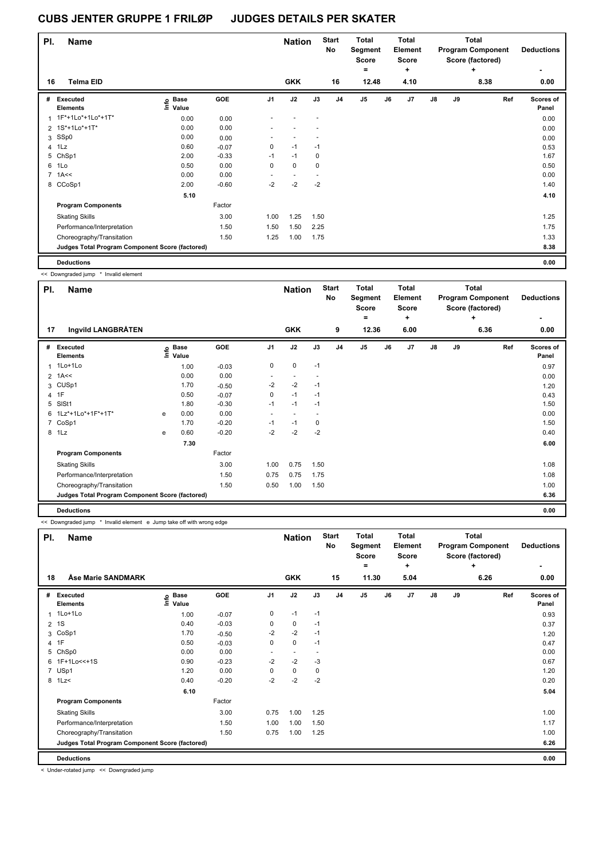| PI.            | <b>Name</b>                                     |                            |         |                | <b>Nation</b> |      | <b>Start</b><br>No | <b>Total</b><br>Segment<br><b>Score</b> |    | <b>Total</b><br>Element<br><b>Score</b> |               |    | <b>Total</b><br><b>Program Component</b><br>Score (factored) | <b>Deductions</b>  |
|----------------|-------------------------------------------------|----------------------------|---------|----------------|---------------|------|--------------------|-----------------------------------------|----|-----------------------------------------|---------------|----|--------------------------------------------------------------|--------------------|
|                |                                                 |                            |         |                |               |      |                    | $=$                                     |    | ÷                                       |               |    | $\ddot{}$                                                    |                    |
| 16             | <b>Telma EID</b>                                |                            |         |                | <b>GKK</b>    |      | 16                 | 12.48                                   |    | 4.10                                    |               |    | 8.38                                                         | 0.00               |
| #              | Executed<br><b>Elements</b>                     | <b>Base</b><br>١m<br>Value | GOE     | J <sub>1</sub> | J2            | J3   | J <sub>4</sub>     | J <sub>5</sub>                          | J6 | J7                                      | $\mathsf{J}8$ | J9 | Ref                                                          | Scores of<br>Panel |
| 1              | 1F*+1Lo*+1Lo*+1T*                               | 0.00                       | 0.00    |                |               |      |                    |                                         |    |                                         |               |    |                                                              | 0.00               |
|                | 2 1S*+1Lo*+1T*                                  | 0.00                       | 0.00    |                |               |      |                    |                                         |    |                                         |               |    |                                                              | 0.00               |
| 3              | SSp0                                            | 0.00                       | 0.00    |                |               |      |                    |                                         |    |                                         |               |    |                                                              | 0.00               |
| $\overline{4}$ | 1Lz                                             | 0.60                       | $-0.07$ | 0              | $-1$          | $-1$ |                    |                                         |    |                                         |               |    |                                                              | 0.53               |
| 5              | ChSp1                                           | 2.00                       | $-0.33$ | $-1$           | $-1$          | 0    |                    |                                         |    |                                         |               |    |                                                              | 1.67               |
| 6              | 1Lo                                             | 0.50                       | 0.00    | 0              | $\mathbf 0$   | 0    |                    |                                         |    |                                         |               |    |                                                              | 0.50               |
|                | $7$ 1A $\leq$                                   | 0.00                       | 0.00    |                |               |      |                    |                                         |    |                                         |               |    |                                                              | 0.00               |
|                | 8 CCoSp1                                        | 2.00                       | $-0.60$ | $-2$           | $-2$          | $-2$ |                    |                                         |    |                                         |               |    |                                                              | 1.40               |
|                |                                                 | 5.10                       |         |                |               |      |                    |                                         |    |                                         |               |    |                                                              | 4.10               |
|                | <b>Program Components</b>                       |                            | Factor  |                |               |      |                    |                                         |    |                                         |               |    |                                                              |                    |
|                | <b>Skating Skills</b>                           |                            | 3.00    | 1.00           | 1.25          | 1.50 |                    |                                         |    |                                         |               |    |                                                              | 1.25               |
|                | Performance/Interpretation                      |                            | 1.50    | 1.50           | 1.50          | 2.25 |                    |                                         |    |                                         |               |    |                                                              | 1.75               |
|                | Choreography/Transitation                       |                            | 1.50    | 1.25           | 1.00          | 1.75 |                    |                                         |    |                                         |               |    |                                                              | 1.33               |
|                | Judges Total Program Component Score (factored) |                            |         |                |               |      |                    |                                         |    |                                         |               |    |                                                              | 8.38               |
|                | <b>Deductions</b>                               |                            |         |                |               |      |                    |                                         |    |                                         |               |    |                                                              | 0.00               |

<< Downgraded jump \* Invalid element

| PI. | <b>Name</b>                                     |   |                            | <b>Nation</b> |                          | <b>Start</b><br><b>Total</b><br>No<br>Segment<br>Score |             | Total<br>Element<br><b>Score</b> |                | <b>Total</b><br><b>Program Component</b><br>Score (factored) |           |               | <b>Deductions</b> |           |                           |
|-----|-------------------------------------------------|---|----------------------------|---------------|--------------------------|--------------------------------------------------------|-------------|----------------------------------|----------------|--------------------------------------------------------------|-----------|---------------|-------------------|-----------|---------------------------|
| 17  | Ingvild LANGBRÅTEN                              |   |                            |               |                          | <b>GKK</b>                                             |             | 9                                | $=$<br>12.36   |                                                              | ٠<br>6.00 |               |                   | ÷<br>6.36 | ۰<br>0.00                 |
|     |                                                 |   |                            |               |                          |                                                        |             |                                  |                |                                                              |           |               |                   |           |                           |
| #   | Executed<br><b>Elements</b>                     |   | e Base<br>E Value<br>Value | GOE           | J <sub>1</sub>           | J2                                                     | J3          | J <sub>4</sub>                   | J <sub>5</sub> | J6                                                           | J7        | $\mathsf{J}8$ | J9                | Ref       | <b>Scores of</b><br>Panel |
| 1   | 1Lo+1Lo                                         |   | 1.00                       | $-0.03$       | 0                        | 0                                                      | $-1$        |                                  |                |                                                              |           |               |                   |           | 0.97                      |
|     | $2$ 1A<<                                        |   | 0.00                       | 0.00          |                          |                                                        |             |                                  |                |                                                              |           |               |                   |           | 0.00                      |
| 3   | CUSp1                                           |   | 1.70                       | $-0.50$       | $-2$                     | $-2$                                                   | $-1$        |                                  |                |                                                              |           |               |                   |           | 1.20                      |
|     | 4 1F                                            |   | 0.50                       | $-0.07$       | 0                        | $-1$                                                   | $-1$        |                                  |                |                                                              |           |               |                   |           | 0.43                      |
| 5   | SISt1                                           |   | 1.80                       | $-0.30$       | $-1$                     | $-1$                                                   | $-1$        |                                  |                |                                                              |           |               |                   |           | 1.50                      |
|     | 6 1Lz*+1Lo*+1F*+1T*                             | e | 0.00                       | 0.00          | $\overline{\phantom{a}}$ |                                                        |             |                                  |                |                                                              |           |               |                   |           | 0.00                      |
|     | 7 CoSp1                                         |   | 1.70                       | $-0.20$       | $-1$                     | $-1$                                                   | $\mathbf 0$ |                                  |                |                                                              |           |               |                   |           | 1.50                      |
|     | 8 1Lz                                           | e | 0.60                       | $-0.20$       | $-2$                     | $-2$                                                   | $-2$        |                                  |                |                                                              |           |               |                   |           | 0.40                      |
|     |                                                 |   | 7.30                       |               |                          |                                                        |             |                                  |                |                                                              |           |               |                   |           | 6.00                      |
|     | <b>Program Components</b>                       |   |                            | Factor        |                          |                                                        |             |                                  |                |                                                              |           |               |                   |           |                           |
|     | <b>Skating Skills</b>                           |   |                            | 3.00          | 1.00                     | 0.75                                                   | 1.50        |                                  |                |                                                              |           |               |                   |           | 1.08                      |
|     | Performance/Interpretation                      |   |                            | 1.50          | 0.75                     | 0.75                                                   | 1.75        |                                  |                |                                                              |           |               |                   |           | 1.08                      |
|     | Choreography/Transitation                       |   |                            | 1.50          | 0.50                     | 1.00                                                   | 1.50        |                                  |                |                                                              |           |               |                   |           | 1.00                      |
|     | Judges Total Program Component Score (factored) |   |                            |               |                          |                                                        |             |                                  |                |                                                              |           |               |                   |           | 6.36                      |
|     | <b>Deductions</b>                               |   |                            |               |                          |                                                        |             |                                  |                |                                                              |           |               |                   |           | 0.00                      |

<< Downgraded jump \* Invalid element e Jump take off with wrong edge

| PI.            | <b>Name</b>                                     |                              |         |                | <b>Nation</b>  |      | <b>Start</b><br><b>No</b> | <b>Total</b><br><b>Total</b><br>Segment<br>Element<br><b>Score</b><br><b>Score</b><br>÷<br>۰ |    |      | <b>Total</b><br><b>Program Component</b><br>Score (factored)<br>٠ |    |      | <b>Deductions</b>  |
|----------------|-------------------------------------------------|------------------------------|---------|----------------|----------------|------|---------------------------|----------------------------------------------------------------------------------------------|----|------|-------------------------------------------------------------------|----|------|--------------------|
| 18             | <b>Åse Marie SANDMARK</b>                       |                              |         |                | <b>GKK</b>     |      | 15                        | 11.30                                                                                        |    | 5.04 |                                                                   |    | 6.26 | 0.00               |
| #              | <b>Executed</b><br><b>Elements</b>              | <b>Base</b><br>١nfo<br>Value | GOE     | J <sub>1</sub> | J2             | J3   | J <sub>4</sub>            | J5                                                                                           | J6 | J7   | J8                                                                | J9 | Ref  | Scores of<br>Panel |
| 1              | 1Lo+1Lo                                         | 1.00                         | $-0.07$ | 0              | $-1$           | $-1$ |                           |                                                                                              |    |      |                                                                   |    |      | 0.93               |
| $\overline{2}$ | 1S                                              | 0.40                         | $-0.03$ | 0              | $\mathbf 0$    | $-1$ |                           |                                                                                              |    |      |                                                                   |    |      | 0.37               |
| 3              | CoSp1                                           | 1.70                         | $-0.50$ | $-2$           | $-2$           | $-1$ |                           |                                                                                              |    |      |                                                                   |    |      | 1.20               |
|                | 4 1F                                            | 0.50                         | $-0.03$ | 0              | 0              | $-1$ |                           |                                                                                              |    |      |                                                                   |    |      | 0.47               |
| 5              | ChSp0                                           | 0.00                         | 0.00    |                | $\blacksquare$ |      |                           |                                                                                              |    |      |                                                                   |    |      | 0.00               |
| 6              | 1F+1Lo<<+1S                                     | 0.90                         | $-0.23$ | $-2$           | $-2$           | -3   |                           |                                                                                              |    |      |                                                                   |    |      | 0.67               |
| $\overline{7}$ | USp1                                            | 1.20                         | 0.00    | 0              | $\mathbf 0$    | 0    |                           |                                                                                              |    |      |                                                                   |    |      | 1.20               |
|                | 8 1Lz<                                          | 0.40                         | $-0.20$ | $-2$           | $-2$           | $-2$ |                           |                                                                                              |    |      |                                                                   |    |      | 0.20               |
|                |                                                 | 6.10                         |         |                |                |      |                           |                                                                                              |    |      |                                                                   |    |      | 5.04               |
|                | <b>Program Components</b>                       |                              | Factor  |                |                |      |                           |                                                                                              |    |      |                                                                   |    |      |                    |
|                | <b>Skating Skills</b>                           |                              | 3.00    | 0.75           | 1.00           | 1.25 |                           |                                                                                              |    |      |                                                                   |    |      | 1.00               |
|                | Performance/Interpretation                      |                              | 1.50    | 1.00           | 1.00           | 1.50 |                           |                                                                                              |    |      |                                                                   |    |      | 1.17               |
|                | Choreography/Transitation                       |                              | 1.50    | 0.75           | 1.00           | 1.25 |                           |                                                                                              |    |      |                                                                   |    |      | 1.00               |
|                | Judges Total Program Component Score (factored) |                              |         |                |                |      |                           |                                                                                              |    |      |                                                                   |    |      | 6.26               |
|                | <b>Deductions</b>                               |                              |         |                |                |      |                           |                                                                                              |    |      |                                                                   |    |      | 0.00               |

< Under-rotated jump << Downgraded jump